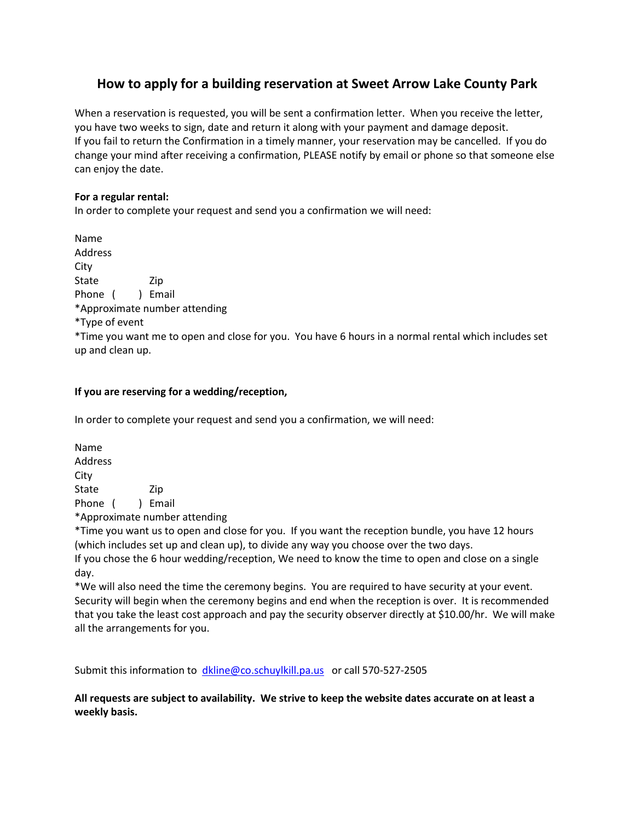# **How to apply for a building reservation at Sweet Arrow Lake County Park**

When a reservation is requested, you will be sent a confirmation letter. When you receive the letter, you have two weeks to sign, date and return it along with your payment and damage deposit. If you fail to return the Confirmation in a timely manner, your reservation may be cancelled. If you do change your mind after receiving a confirmation, PLEASE notify by email or phone so that someone else can enjoy the date.

#### **For a regular rental:**

In order to complete your request and send you a confirmation we will need:

Name Address City State Zip Phone ( ) Email \*Approximate number attending \*Type of event \*Time you want me to open and close for you. You have 6 hours in a normal rental which includes set up and clean up.

#### **If you are reserving for a wedding/reception,**

In order to complete your request and send you a confirmation, we will need:

Name Address City State Zip Phone ( ) Email

\*Approximate number attending

\*Time you want us to open and close for you. If you want the reception bundle, you have 12 hours (which includes set up and clean up), to divide any way you choose over the two days. If you chose the 6 hour wedding/reception, We need to know the time to open and close on a single day.

\*We will also need the time the ceremony begins. You are required to have security at your event. Security will begin when the ceremony begins and end when the reception is over. It is recommended that you take the least cost approach and pay the security observer directly at \$10.00/hr. We will make all the arrangements for you.

Submit this information to [dkline@co.schuylkill.pa.us](mailto:dkline@co.schuylkill.pa.us) or call 570-527-2505

**All requests are subject to availability. We strive to keep the website dates accurate on at least a weekly basis.**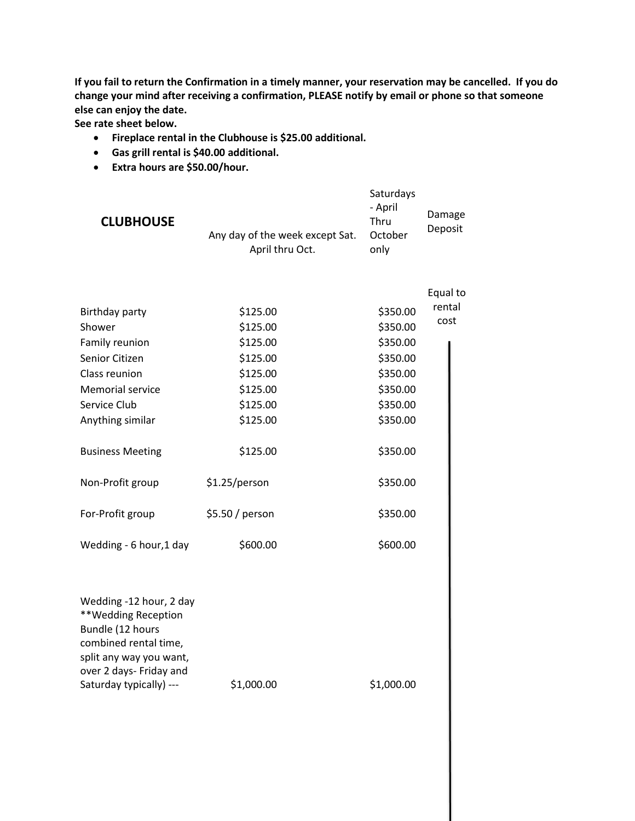**If you fail to return the Confirmation in a timely manner, your reservation may be cancelled. If you do change your mind after receiving a confirmation, PLEASE notify by email or phone so that someone else can enjoy the date.**

**See rate sheet below.**

- **Fireplace rental in the Clubhouse is \$25.00 additional.**
- **Gas grill rental is \$40.00 additional.**
- **Extra hours are \$50.00/hour.**

| <b>CLUBHOUSE</b>                                                                                                                                                                                                                           | Any day of the week except Sat.<br>April thru Oct.                                                                                                       | Saturdays<br>- April<br>Thru<br>October<br>only                                                                                              | Damage<br>Deposit          |
|--------------------------------------------------------------------------------------------------------------------------------------------------------------------------------------------------------------------------------------------|----------------------------------------------------------------------------------------------------------------------------------------------------------|----------------------------------------------------------------------------------------------------------------------------------------------|----------------------------|
| Birthday party<br>Shower<br>Family reunion<br>Senior Citizen<br>Class reunion<br><b>Memorial service</b><br>Service Club<br>Anything similar<br><b>Business Meeting</b><br>Non-Profit group<br>For-Profit group<br>Wedding - 6 hour, 1 day | \$125.00<br>\$125.00<br>\$125.00<br>\$125.00<br>\$125.00<br>\$125.00<br>\$125.00<br>\$125.00<br>\$125.00<br>\$1.25/person<br>\$5.50 / person<br>\$600.00 | \$350.00<br>\$350.00<br>\$350.00<br>\$350.00<br>\$350.00<br>\$350.00<br>\$350.00<br>\$350.00<br>\$350.00<br>\$350.00<br>\$350.00<br>\$600.00 | Equal to<br>rental<br>cost |
| Wedding -12 hour, 2 day<br>**Wedding Reception<br>Bundle (12 hours<br>combined rental time,<br>split any way you want,<br>over 2 days- Friday and<br>Saturday typically) ---                                                               | \$1,000.00                                                                                                                                               | \$1,000.00                                                                                                                                   |                            |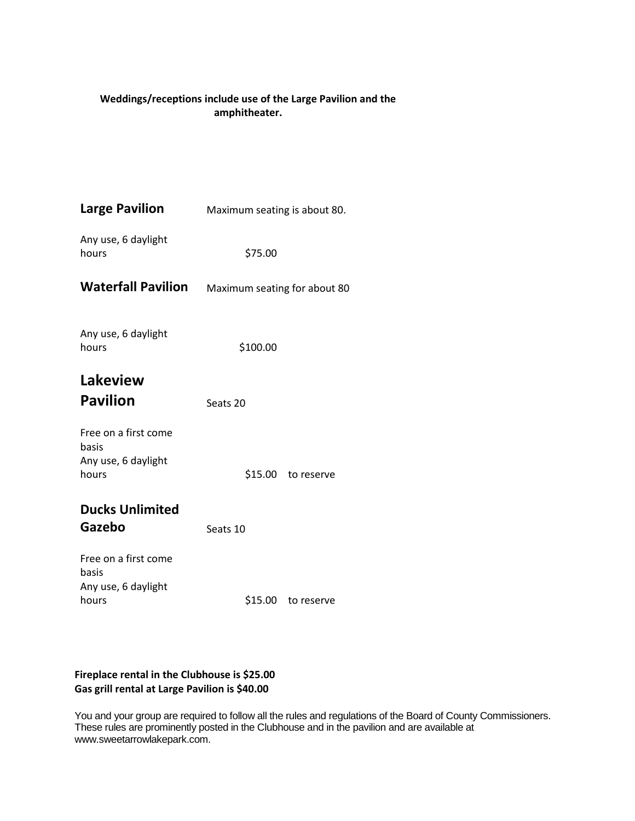## **Weddings/receptions include use of the Large Pavilion and the amphitheater.**

| <b>Large Pavilion</b>         | Maximum seating is about 80. |  |  |
|-------------------------------|------------------------------|--|--|
| Any use, 6 daylight<br>hours  | \$75.00                      |  |  |
| <b>Waterfall Pavilion</b>     | Maximum seating for about 80 |  |  |
| Any use, 6 daylight<br>hours  | \$100.00                     |  |  |
| Lakeview                      |                              |  |  |
| <b>Pavilion</b>               | Seats 20                     |  |  |
| Free on a first come<br>basis |                              |  |  |
| Any use, 6 daylight<br>hours  | \$15.00 to reserve           |  |  |
| <b>Ducks Unlimited</b>        |                              |  |  |
| Gazebo                        | Seats 10                     |  |  |
| Free on a first come<br>basis |                              |  |  |
| Any use, 6 daylight<br>hours  | \$15.00 to reserve           |  |  |

### **Fireplace rental in the Clubhouse is \$25.00 Gas grill rental at Large Pavilion is \$40.00**

You and your group are required to follow all the rules and regulations of the Board of County Commissioners. These rules are prominently posted in the Clubhouse and in the pavilion and are available at www.sweetarrowlakepark.com.